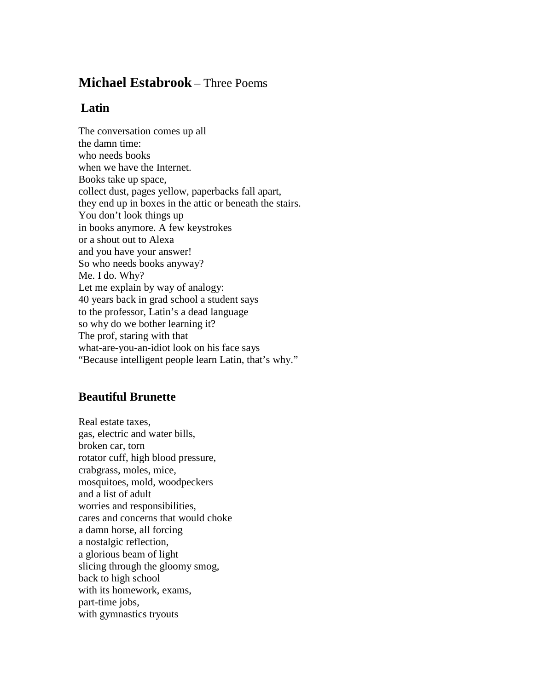## **Michael Estabrook** – Three Poems

## **Latin**

The conversation comes up all the damn time: who needs books when we have the Internet. Books take up space, collect dust, pages yellow, paperbacks fall apart, they end up in boxes in the attic or beneath the stairs. You don't look things up in books anymore. A few keystrokes or a shout out to Alexa and you have your answer! So who needs books anyway? Me. I do. Why? Let me explain by way of analogy: 40 years back in grad school a student says to the professor, Latin's a dead language so why do we bother learning it? The prof, staring with that what-are-you-an-idiot look on his face says "Because intelligent people learn Latin, that's why."

## **Beautiful Brunette**

Real estate taxes, gas, electric and water bills, broken car, torn rotator cuff, high blood pressure, crabgrass, moles, mice, mosquitoes, mold, woodpeckers and a list of adult worries and responsibilities, cares and concerns that would choke a damn horse, all forcing a nostalgic reflection, a glorious beam of light slicing through the gloomy smog, back to high school with its homework, exams, part-time jobs, with gymnastics tryouts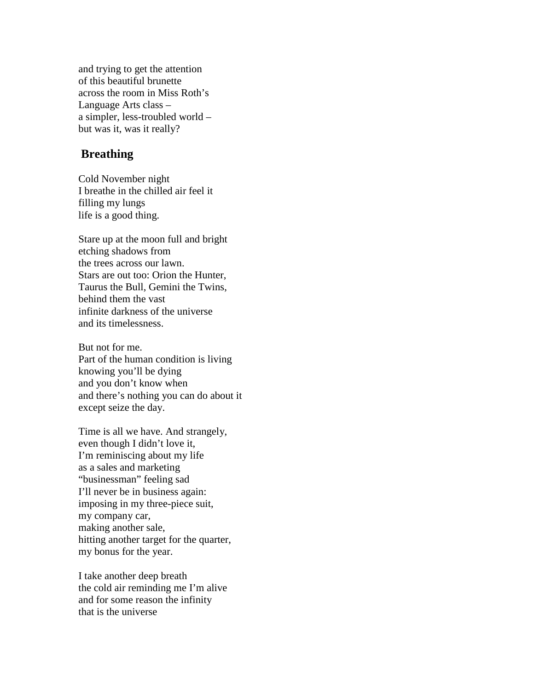and trying to get the attention of this beautiful brunette across the room in Miss Roth's Language Arts class – a simpler, less-troubled world – but was it, was it really?

## **Breathing**

Cold November night I breathe in the chilled air feel it filling my lungs life is a good thing.

Stare up at the moon full and bright etching shadows from the trees across our lawn. Stars are out too: Orion the Hunter, Taurus the Bull, Gemini the Twins, behind them the vast infinite darkness of the universe and its timelessness.

But not for me. Part of the human condition is living knowing you'll be dying and you don't know when and there's nothing you can do about it except seize the day.

Time is all we have. And strangely, even though I didn't love it, I'm reminiscing about my life as a sales and marketing "businessman" feeling sad I'll never be in business again: imposing in my three-piece suit, my company car, making another sale, hitting another target for the quarter, my bonus for the year.

I take another deep breath the cold air reminding me I'm alive and for some reason the infinity that is the universe